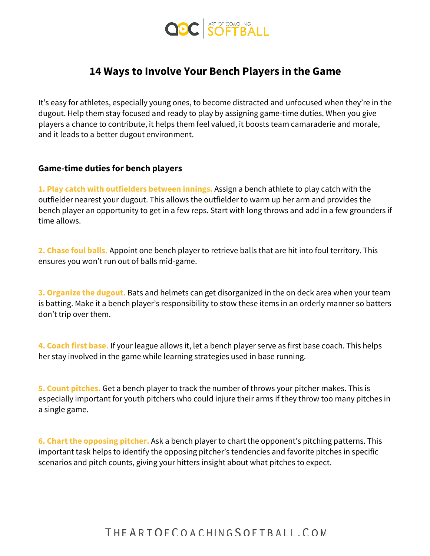

## **14 Ways to Involve Your Bench Players in the Game**

It's easy for athletes, especially young ones, to become distracted and unfocused when they're in the dugout. Help them stay focused and ready to play by assigning game-time duties. When you give players a chance to contribute, it helps them feel valued, it boosts team camaraderie and morale, and it leads to a better dugout environment.

## **Game-time duties for bench players**

**1. Play catch with outfielders between innings.** Assign a bench athlete to play catch with the outfielder nearest your dugout. This allows the outfielder to warm up her arm and provides the bench player an opportunity to get in a few reps. Start with long throws and add in a few grounders if time allows.

**2. Chase foul balls.** Appoint one bench player to retrieve balls that are hit into foul territory. This ensures you won't run out of balls mid-game.

**3. Organize the dugout.** Bats and helmets can get disorganized in the on deck area when your team is batting. Make it a bench player's responsibility to stow these items in an orderly manner so batters don't trip over them.

**4. Coach first base.** If your league allows it, let a bench player serve as first base coach. This helps her stay involved in the game while learning strategies used in base running.

**5. Count pitches.** Get a bench player to track the number of throws your pitcher makes. This is especially important for youth pitchers who could injure their arms if they throw too many pitches in a single game.

**6. Chart the opposing pitcher.** Ask a bench player to chart the opponent's pitching patterns. This important task helps to identify the opposing pitcher's tendencies and favorite pitches in specific scenarios and pitch counts, giving your hitters insight about what pitches to expect.